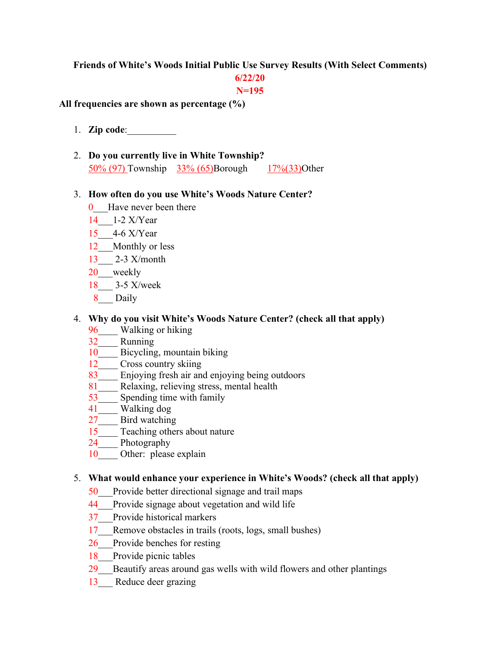#### **Friends of White's Woods Initial Public Use Survey Results (With Select Comments)**

## **6/22/20**

#### **N=195**

#### **All frequencies are shown as percentage (%)**

- 1. **Zip code**:\_\_\_\_\_\_\_\_\_\_
- 2. **Do you currently live in White Township?**  50% (97) Township 33% (65)Borough 17%(33)Other

#### 3. **How often do you use White's Woods Nature Center?**

- 0\_\_\_Have never been there
- 14\_\_\_1-2 X/Year
- 15\_\_\_4-6 X/Year
- 12 Monthly or less
- 13\_\_\_ 2-3 X/month
- 20 weekly
- 18\_\_\_ 3-5 X/week
- 8 Daily

#### 4. **Why do you visit White's Woods Nature Center? (check all that apply)**

- 96\_\_\_\_ Walking or hiking
- 
- $\frac{32}{10}$  Running<br>10 Bicycling Bicycling, mountain biking
- 12 Cross country skiing
- 83<sup>Enjoying</sup> fresh air and enjoying being outdoors
- 81\_\_\_\_ Relaxing, relieving stress, mental health
- Spending time with family
- 41\_\_\_\_ Walking dog
- 27 Bird watching
- 15<sup>T</sup> Teaching others about nature
- 24 Photography
- 10 Other: please explain

#### 5. **What would enhance your experience in White's Woods? (check all that apply)**

- 50\_\_\_Provide better directional signage and trail maps
- 44 Provide signage about vegetation and wild life
- 37\_\_\_Provide historical markers
- 17 Remove obstacles in trails (roots, logs, small bushes)
- 26 Provide benches for resting
- 18 Provide picnic tables
- 29 Beautify areas around gas wells with wild flowers and other plantings
- 13 Reduce deer grazing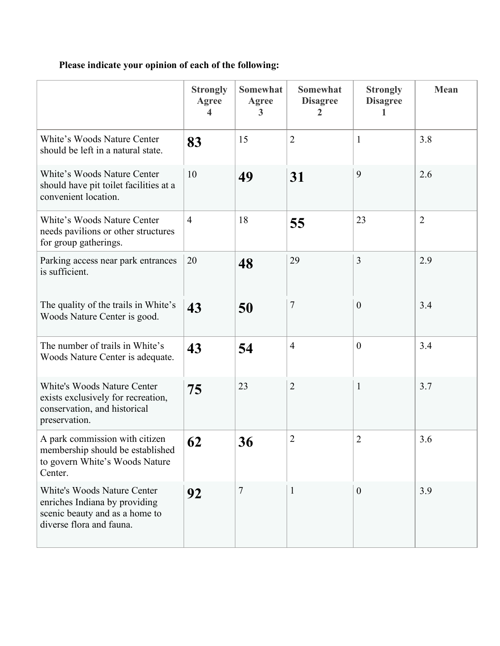# **Please indicate your opinion of each of the following:**

|                                                                                                                                   | <b>Strongly</b><br>Agree<br>4 | <b>Somewhat</b><br><b>Agree</b><br>3 | <b>Somewhat</b><br><b>Disagree</b><br>2 | <b>Strongly</b><br><b>Disagree</b> | <b>Mean</b>    |
|-----------------------------------------------------------------------------------------------------------------------------------|-------------------------------|--------------------------------------|-----------------------------------------|------------------------------------|----------------|
| White's Woods Nature Center<br>should be left in a natural state.                                                                 | 83                            | 15                                   | $\overline{2}$                          | $\mathbf{1}$                       | 3.8            |
| White's Woods Nature Center<br>should have pit toilet facilities at a<br>convenient location.                                     | 10                            | 49                                   | 31                                      | 9                                  | 2.6            |
| White's Woods Nature Center<br>needs pavilions or other structures<br>for group gatherings.                                       | $\overline{4}$                | 18                                   | 55                                      | 23                                 | $\overline{2}$ |
| Parking access near park entrances<br>is sufficient.                                                                              | 20                            | 48                                   | 29                                      | 3                                  | 2.9            |
| The quality of the trails in White's<br>Woods Nature Center is good.                                                              | 43                            | 50                                   | $\overline{7}$                          | $\boldsymbol{0}$                   | 3.4            |
| The number of trails in White's<br>Woods Nature Center is adequate.                                                               | 43                            | 54                                   | $\overline{4}$                          | $\theta$                           | 3.4            |
| White's Woods Nature Center<br>exists exclusively for recreation,<br>conservation, and historical<br>preservation.                | 75                            | 23                                   | $\overline{2}$                          | $\mathbf{1}$                       | 3.7            |
| A park commission with citizen<br>membership should be established<br>to govern White's Woods Nature<br>Center.                   | 62                            | 36                                   | $\overline{2}$                          | $\overline{2}$                     | 3.6            |
| <b>White's Woods Nature Center</b><br>enriches Indiana by providing<br>scenic beauty and as a home to<br>diverse flora and fauna. | 92                            | $\overline{7}$                       | $\mathbf{1}$                            | $\overline{0}$                     | 3.9            |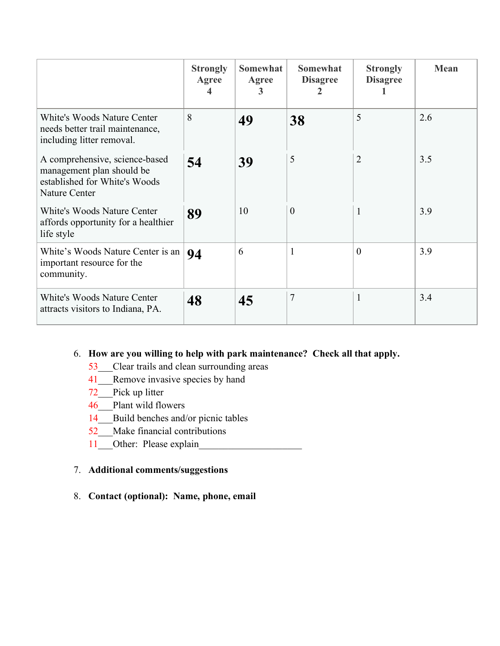|                                                                                                                      | <b>Strongly</b><br>Agree | <b>Somewhat</b><br>Agree<br>3 | <b>Somewhat</b><br><b>Disagree</b> | <b>Strongly</b><br><b>Disagree</b> | Mean |
|----------------------------------------------------------------------------------------------------------------------|--------------------------|-------------------------------|------------------------------------|------------------------------------|------|
| <b>White's Woods Nature Center</b><br>needs better trail maintenance,<br>including litter removal.                   | 8                        | 49                            | 38                                 | 5                                  | 2.6  |
| A comprehensive, science-based<br>management plan should be<br>established for White's Woods<br><b>Nature Center</b> | 54                       | 39                            | 5                                  | $\overline{2}$                     | 3.5  |
| White's Woods Nature Center<br>affords opportunity for a healthier<br>life style                                     | 89                       | 10                            | $\theta$                           |                                    | 3.9  |
| White's Woods Nature Center is an<br>important resource for the<br>community.                                        | 94                       | 6                             | $\mathbf{1}$                       | $\theta$                           | 3.9  |
| <b>White's Woods Nature Center</b><br>attracts visitors to Indiana, PA.                                              | 48                       | 45                            | $\overline{7}$                     | 1                                  | 3.4  |

## 6. **How are you willing to help with park maintenance? Check all that apply.**

- 53\_\_\_Clear trails and clean surrounding areas
- 41\_\_\_Remove invasive species by hand
- 72 Pick up litter
- 46 Plant wild flowers
- 14 Build benches and/or picnic tables
- 52\_\_\_Make financial contributions
- 11\_\_\_Other: Please explain\_

### 7. **Additional comments/suggestions**

8. **Contact (optional): Name, phone, email**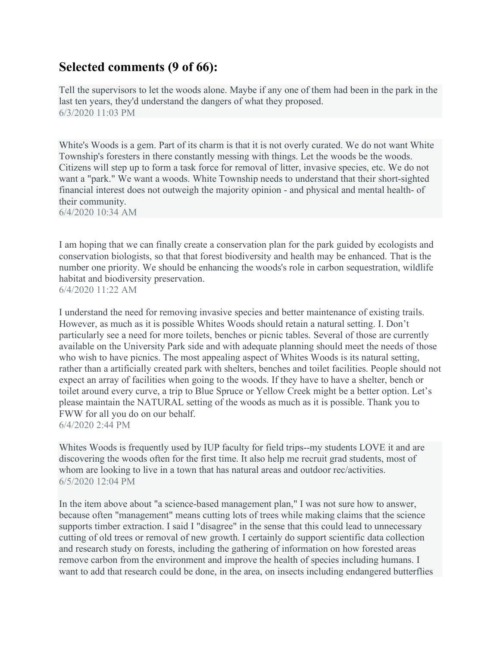## **Selected comments (9 of 66):**

Tell the supervisors to let the woods alone. Maybe if any one of them had been in the park in the last ten years, they'd understand the dangers of what they proposed. 6/3/2020 11:03 PM

White's Woods is a gem. Part of its charm is that it is not overly curated. We do not want White Township's foresters in there constantly messing with things. Let the woods be the woods. Citizens will step up to form a task force for removal of litter, invasive species, etc. We do not want a "park." We want a woods. White Township needs to understand that their short-sighted financial interest does not outweigh the majority opinion - and physical and mental health- of their community.

6/4/2020 10:34 AM

I am hoping that we can finally create a conservation plan for the park guided by ecologists and conservation biologists, so that that forest biodiversity and health may be enhanced. That is the number one priority. We should be enhancing the woods's role in carbon sequestration, wildlife habitat and biodiversity preservation. 6/4/2020 11:22 AM

I understand the need for removing invasive species and better maintenance of existing trails. However, as much as it is possible Whites Woods should retain a natural setting. I. Don't particularly see a need for more toilets, benches or picnic tables. Several of those are currently available on the University Park side and with adequate planning should meet the needs of those who wish to have picnics. The most appealing aspect of Whites Woods is its natural setting, rather than a artificially created park with shelters, benches and toilet facilities. People should not expect an array of facilities when going to the woods. If they have to have a shelter, bench or toilet around every curve, a trip to Blue Spruce or Yellow Creek might be a better option. Let's please maintain the NATURAL setting of the woods as much as it is possible. Thank you to FWW for all you do on our behalf. 6/4/2020 2:44 PM

Whites Woods is frequently used by IUP faculty for field trips--my students LOVE it and are discovering the woods often for the first time. It also help me recruit grad students, most of whom are looking to live in a town that has natural areas and outdoor rec/activities. 6/5/2020 12:04 PM

In the item above about "a science-based management plan," I was not sure how to answer, because often "management" means cutting lots of trees while making claims that the science supports timber extraction. I said I "disagree" in the sense that this could lead to unnecessary cutting of old trees or removal of new growth. I certainly do support scientific data collection and research study on forests, including the gathering of information on how forested areas remove carbon from the environment and improve the health of species including humans. I want to add that research could be done, in the area, on insects including endangered butterflies